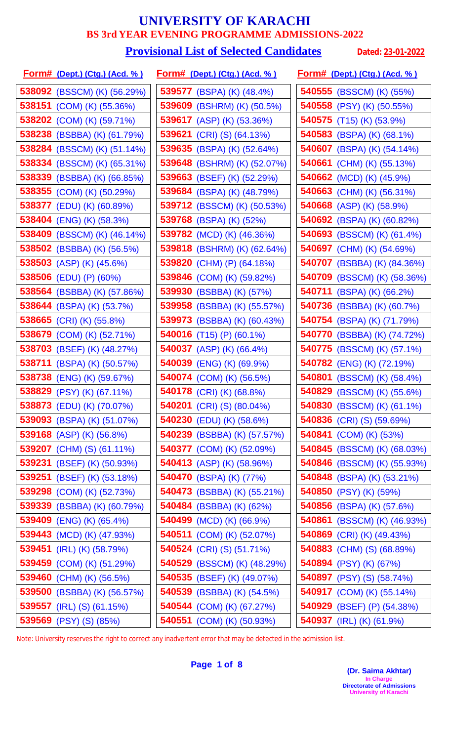### **Provisional List of Selected Candidates** Dated: 23-01-2022

| <u>Form# (Dept.) (Ctg.) (Acd. % )</u> | <u>Form# (Dept.) (Ctg.) (Acd. %)</u> | Form# (Dept.) (Ctg.) (Acd. %)    |
|---------------------------------------|--------------------------------------|----------------------------------|
| <b>538092</b> (BSSCM) (K) (56.29%)    | <b>539577</b> (BSPA) (K) (48.4%)     | 540555 (BSSCM) (K) (55%)         |
| 538151 (COM) (K) (55.36%)             | 539609 (BSHRM) (K) (50.5%)           | 540558 (PSY) (K) (50.55%)        |
| 538202 (COM) (K) (59.71%)             | 539617 (ASP) (K) (53.36%)            | <b>540575</b> (T15) (K) (53.9%)  |
| 538238 (BSBBA) (K) (61.79%)           | 539621 (CRI) (S) $(64.13%)$          | 540583 (BSPA) (K) (68.1%)        |
| 538284 (BSSCM) (K) (51.14%)           | 539635<br>(BSPA) (K) (52.64%)        | 540607 (BSPA) (K) (54.14%)       |
| 538334 (BSSCM) (K) (65.31%)           | 539648 (BSHRM) (K) (52.07%)          | 540661 (CHM) (K) (55.13%)        |
| 538339 (BSBBA) (K) (66.85%)           | 539663<br>(BSEF) (K) (52.29%)        | 540662 (MCD) (K) (45.9%)         |
| 538355 (COM) (K) (50.29%)             | 539684 (BSPA) (K) (48.79%)           | 540663 (CHM) (K) (56.31%)        |
| <b>538377</b> (EDU) (K) (60.89%)      | 539712 (BSSCM) (K) (50.53%)          | <b>540668</b> (ASP) (K) (58.9%)  |
| 538404 (ENG) (K) (58.3%)              | 539768 (BSPA) (K) (52%)              | 540692 (BSPA) (K) (60.82%)       |
| 538409 (BSSCM) (K) (46.14%)           | 539782 (MCD) (K) (46.36%)            | 540693 (BSSCM) (K) (61.4%)       |
| 538502 (BSBBA) (K) (56.5%)            | 539818<br>(BSHRM) (K) (62.64%)       | 540697 (CHM) (K) (54.69%)        |
| 538503 (ASP) (K) (45.6%)              | 539820<br>(CHM) (P) (64.18%)         | 540707 (BSBBA) (K) (84.36%)      |
| 538506 (EDU) (P) (60%)                | 539846 (COM) (K) (59.82%)            | 540709 (BSSCM) (K) (58.36%)      |
| 538564 (BSBBA) (K) (57.86%)           | 539930<br>(BSBBA) (K) (57%)          | 540711 (BSPA) (K) (66.2%)        |
| 538644 (BSPA) (K) (53.7%)             | 539958<br>(BSBBA) (K) (55.57%)       | 540736 (BSBBA) (K) (60.7%)       |
| 538665 (CRI) (K) (55.8%)              | 539973 (BSBBA) (K) (60.43%)          | 540754 (BSPA) (K) (71.79%)       |
| 538679<br>(COM) (K) (52.71%)          | 540016<br>$(T15)$ (P) (60.1%)        | 540770 (BSBBA) (K) (74.72%)      |
| 538703 (BSEF) (K) (48.27%)            | 540037 (ASP) (K) (66.4%)             | 540775 (BSSCM) (K) (57.1%)       |
| 538711 (BSPA) (K) (50.57%)            | 540039<br>$(ENG)$ $(K)$ $(69.9%)$    | 540782 (ENG) (K) (72.19%)        |
| 538738 (ENG) (K) (59.67%)             | 540074 (COM) (K) (56.5%)             | 540801 (BSSCM) (K) (58.4%)       |
| 538829 (PSY) (K) (67.11%)             | 540178 (CRI) (K) (68.8%)             | 540829 (BSSCM) (K) (55.6%)       |
| 538873 (EDU) (K) (70.07%)             | <b>540201</b> (CRI) (S) (80.04%)     | 540830 (BSSCM) (K) (61.1%)       |
| 539093 (BSPA) (K) (51.07%)            | <b>540230</b> (EDU) (K) (58.6%)      | <b>540836</b> (CRI) (S) (59.69%) |
| 539168 (ASP) (K) (56.8%)              | 540239 (BSBBA) (K) (57.57%)          | 540841 (COM) (K) (53%)           |
| 539207 (CHM) (S) (61.11%)             | 540377 (COM) (K) (52.09%)            | 540845 (BSSCM) (K) (68.03%)      |
| <b>539231</b> (BSEF) (K) (50.93%)     | 540413 (ASP) (K) (58.96%)            | 540846 (BSSCM) (K) (55.93%)      |
| 539251 (BSEF) (K) (53.18%)            | 540470 (BSPA) (K) (77%)              | 540848 (BSPA) (K) (53.21%)       |
| <b>539298</b> (COM) (K) (52.73%)      | 540473 (BSBBA) (K) (55.21%)          | 540850 (PSY) (K) (59%)           |
| 539339 (BSBBA) (K) (60.79%)           | 540484 (BSBBA) (K) (62%)             | 540856 (BSPA) (K) (57.6%)        |
| 539409 (ENG) (K) (65.4%)              | 540499 (MCD) (K) (66.9%)             | 540861 (BSSCM) (K) (46.93%)      |
| 539443 (MCD) (K) (47.93%)             | 540511 (COM) (K) (52.07%)            | 540869 (CRI) (K) (49.43%)        |
| 539451 (IRL) (K) (58.79%)             | <b>540524</b> (CRI) (S) (51.71%)     | 540883 (CHM) (S) (68.89%)        |
| 539459 (COM) (K) (51.29%)             | 540529 (BSSCM) (K) (48.29%)          | 540894 (PSY) (K) (67%)           |
| 539460 (CHM) (K) (56.5%)              | 540535 (BSEF) (K) (49.07%)           | 540897 (PSY) (S) (58.74%)        |
| 539500 (BSBBA) (K) (56.57%)           | 540539 (BSBBA) (K) (54.5%)           | 540917 (COM) (K) (55.14%)        |
| 539557 (IRL) (S) (61.15%)             | 540544 (COM) (K) (67.27%)            | 540929 (BSEF) (P) (54.38%)       |
| 539569 (PSY) (S) (85%)                | 540551 (COM) (K) (50.93%)            | 540937 (IRL) (K) (61.9%)         |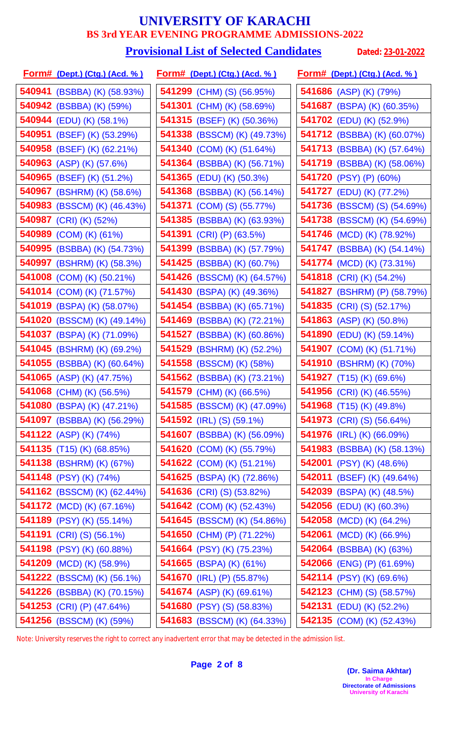#### **Provisional List of Selected Candidates** Dated: 23-01-2022

| <u>Form# (Dept.) (Ctg.) (Acd. % )</u> | <u>Form# (Dept.) (Ctg.) (Acd. %)</u> | <u>Form# (Dept.) (Ctg.) (Acd. % )</u> |
|---------------------------------------|--------------------------------------|---------------------------------------|
| 540941 (BSBBA) (K) (58.93%)           | 541299 (CHM) (S) (56.95%)            | 541686 (ASP) (K) (79%)                |
| 540942 (BSBBA) (K) (59%)              | 541301 (CHM) (K) (58.69%)            | 541687 (BSPA) (K) (60.35%)            |
| 540944 (EDU) (K) (58.1%)              | 541315 (BSEF) (K) (50.36%)           | 541702 (EDU) (K) (52.9%)              |
| 540951 (BSEF) (K) (53.29%)            | <b>541338</b> (BSSCM) (K) (49.73%)   | 541712 (BSBBA) (K) (60.07%)           |
| 540958 (BSEF) (K) (62.21%)            | 541340 (COM) (K) (51.64%)            | 541713 (BSBBA) (K) (57.64%)           |
| <b>540963</b> (ASP) (K) (57.6%)       | <b>541364</b> (BSBBA) (K) (56.71%)   | 541719 (BSBBA) (K) (58.06%)           |
| 540965 (BSEF) (K) (51.2%)             | 541365 (EDU) (K) (50.3%)             | 541720 (PSY) (P) (60%)                |
| 540967 (BSHRM) (K) (58.6%)            | <b>541368</b> (BSBBA) (K) (56.14%)   | 541727 (EDU) (K) (77.2%)              |
| 540983 (BSSCM) (K) (46.43%)           | <b>541371</b> (COM) (S) (55.77%)     | 541736 (BSSCM) (S) (54.69%)           |
| 540987 (CRI) (K) (52%)                | <b>541385</b> (BSBBA) (K) (63.93%)   | 541738 (BSSCM) (K) (54.69%)           |
| 540989 (COM) (K) (61%)                | 541391 (CRI) (P) (63.5%)             | 541746 (MCD) (K) (78.92%)             |
| 540995 (BSBBA) (K) (54.73%)           | <b>541399</b> (BSBBA) (K) (57.79%)   | <b>541747</b> (BSBBA) (K) (54.14%)    |
| 540997 (BSHRM) (K) (58.3%)            | <b>541425</b> (BSBBA) (K) (60.7%)    | 541774 (MCD) (K) (73.31%)             |
| <b>541008</b> (COM) (K) (50.21%)      | <b>541426</b> (BSSCM) (K) (64.57%)   | <b>541818</b> (CRI) (K) (54.2%)       |
| 541014 (COM) (K) (71.57%)             | 541430 (BSPA) (K) (49.36%)           | 541827 (BSHRM) (P) (58.79%)           |
| 541019 (BSPA) (K) (58.07%)            | 541454 (BSBBA) (K) (65.71%)          | 541835 (CRI) (S) (52.17%)             |
| 541020 (BSSCM) (K) (49.14%)           | <b>541469</b> (BSBBA) (K) (72.21%)   | <b>541863</b> (ASP) (K) (50.8%)       |
| 541037 (BSPA) (K) (71.09%)            | <b>541527</b> (BSBBA) (K) (60.86%)   | <b>541890</b> (EDU) (K) (59.14%)      |
| 541045 (BSHRM) (K) (69.2%)            | <b>541529</b> (BSHRM) (K) (52.2%)    | <b>541907</b> (COM) (K) (51.71%)      |
| 541055 (BSBBA) (K) (60.64%)           | 541558 (BSSCM) (K) (58%)             | 541910 (BSHRM) (K) (70%)              |
| 541065 (ASP) (K) (47.75%)             | <b>541562</b> (BSBBA) (K) (73.21%)   | <b>541927</b> (T15) (K) (69.6%)       |
| 541068 (CHM) (K) (56.5%)              | 541579 (CHM) (K) (66.5%)             | 541956 (CRI) (K) (46.55%)             |
| 541080 (BSPA) (K) (47.21%)            | 541585 (BSSCM) (K) (47.09%)          | <b>541968</b> (T15) (K) (49.8%)       |
| <b>541097</b> (BSBBA) (K) (56.29%)    | <b>541592</b> (IRL) (S) (59.1%)      | <b>541973</b> (CRI) (S) (56.64%)      |
| 541122 (ASP) (K) (74%)                | <b>541607</b> (BSBBA) (K) (56.09%)   | 541976 (IRL) (K) (66.09%)             |
| <b>541135</b> (T15) (K) (68.85%)      | <b>541620</b> (COM) (K) (55.79%)     | 541983 (BSBBA) (K) (58.13%)           |
| 541138 (BSHRM) (K) (67%)              | <b>541622</b> (COM) (K) (51.21%)     | <b>542001</b> (PSY) (K) (48.6%)       |
| 541148 (PSY) (K) (74%)                | 541625 (BSPA) (K) (72.86%)           | <b>542011</b> (BSEF) (K) (49.64%)     |
| <b>541162</b> (BSSCM) (K) (62.44%)    | <b>541636</b> (CRI) (S) (53.82%)     | 542039 (BSPA) (K) (48.5%)             |
| 541172 (MCD) (K) (67.16%)             | <b>541642</b> (COM) (K) (52.43%)     | <b>542056</b> (EDU) (K) (60.3%)       |
| 541189 (PSY) (K) (55.14%)             | <b>541645</b> (BSSCM) (K) (54.86%)   | <b>542058</b> (MCD) (K) (64.2%)       |
| <b>541191</b> (CRI) (S) (56.1%)       | 541650 (CHM) (P) (71.22%)            | <b>542061</b> (MCD) (K) (66.9%)       |
| 541198 (PSY) (K) (60.88%)             | 541664 (PSY) (K) (75.23%)            | 542064 (BSBBA) (K) (63%)              |
| 541209 (MCD) (K) (58.9%)              | 541665 (BSPA) (K) (61%)              | 542066 (ENG) (P) (61.69%)             |
| <b>541222</b> (BSSCM) (K) (56.1%)     | <b>541670</b> (IRL) (P) (55.87%)     | <b>542114</b> (PSY) (K) (69.6%)       |
| 541226 (BSBBA) (K) (70.15%)           | 541674 (ASP) (K) (69.61%)            | 542123 (CHM) (S) (58.57%)             |
| 541253 (CRI) (P) (47.64%)             | <b>541680</b> (PSY) (S) (58.83%)     | <b>542131</b> (EDU) (K) (52.2%)       |
| 541256 (BSSCM) (K) (59%)              | 541683 (BSSCM) (K) (64.33%)          | 542135 (COM) (K) (52.43%)             |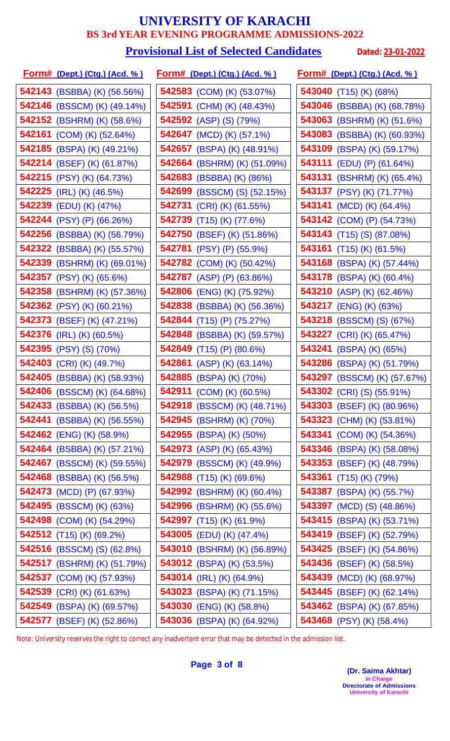# **Provisional List of Selected Candidates** Dated: 23-01-2022

| <u>Form# (Dept.) (Ctg.) (Acd. %)</u> |        | <u>Form# (Dept.) (Ctg.) (Acd. %)</u> |        | <u>Form# (Dept.) (Ctg.) (Acd. % )</u> |
|--------------------------------------|--------|--------------------------------------|--------|---------------------------------------|
| 542143 (BSBBA) (K) (56.56%)          |        | 542583 (COM) (K) (53.07%)            |        | 543040 (T15) (K) (68%)                |
| 542146 (BSSCM) (K) (49.14%)          |        | 542591 (CHM) (K) (48.43%)            |        | 543046 (BSBBA) (K) (68.78%)           |
| 542152 (BSHRM) (K) (58.6%)           |        | 542592 (ASP) (S) (79%)               |        | 543063 (BSHRM) (K) (51.6%)            |
| <b>542161</b> (COM) (K) (52.64%)     | 542647 | $(MCD)$ (K) $(57.1\%)$               |        | 543083 (BSBBA) (K) (60.93%)           |
| 542185 (BSPA) (K) (49.21%)           |        | 542657 (BSPA) (K) (48.91%)           |        | 543109 (BSPA) (K) (59.17%)            |
| <b>542214</b> (BSEF) (K) (61.87%)    |        | <b>542664</b> (BSHRM) (K) (51.09%)   |        | <b>543111</b> (EDU) (P) (61.64%)      |
| 542215 (PSY) (K) (64.73%)            | 542683 | (BSBBA) (K) (86%)                    |        | 543131 (BSHRM) (K) (65.4%)            |
| 542225 (IRL) (K) (46.5%)             |        | 542699 (BSSCM) (S) (52.15%)          |        | 543137 (PSY) (K) (71.77%)             |
| 542239 (EDU) (K) (47%)               |        | 542731 (CRI) (K) (61.55%)            | 543141 | $(MCD)$ (K) $(64.4\%)$                |
| 542244 (PSY) (P) (66.26%)            |        | 542739 (T15) (K) (77.6%)             |        | 543142 (COM) (P) (54.73%)             |
| 542256 (BSBBA) (K) (56.79%)          |        | 542750 (BSEF) (K) (51.86%)           |        | <b>543143</b> (T15) (S) (87.08%)      |
| <b>542322</b> (BSBBA) (K) (55.57%)   |        | 542781 (PSY) (P) (55.9%)             |        | 543161 $(T15)$ (K) (61.5%)            |
| 542339 (BSHRM) (K) (69.01%)          |        | 542782 (COM) (K) (50.42%)            |        | 543168 (BSPA) (K) (57.44%)            |
| 542357 (PSY) (K) (65.6%)             |        | <b>542787</b> (ASP) (P) (63.86%)     |        | 543178 (BSPA) (K) (60.4%)             |
| 542358 (BSHRM) (K) (57.36%)          |        | 542806 (ENG) (K) (75.92%)            |        | 543210 (ASP) (K) (62.46%)             |
| 542362 (PSY) (K) (60.21%)            |        | 542838 (BSBBA) (K) (56.36%)          |        | 543217 (ENG) (K) (63%)                |
| 542373 (BSEF) (K) (47.21%)           |        | 542844 (T15) (P) $(75.27%)$          |        | 543218 (BSSCM) (S) (67%)              |
| 542376 (IRL) (K) (60.5%)             |        | 542848 (BSBBA) (K) (59.57%)          |        | 543227 (CRI) (K) (65.47%)             |
| 542395 (PSY) (S) (70%)               |        | 542849 (T15) (P) (80.6%)             | 543241 | (BSPA) (K) (65%)                      |
| 542403 (CRI) (K) (49.7%)             |        | 542861 (ASP) (K) (63.14%)            |        | 543286 (BSPA) (K) (51.79%)            |
| 542405 (BSBBA) (K) (58.93%)          |        | 542885 (BSPA) (K) (70%)              |        | 543297 (BSSCM) (K) (57.67%)           |
| 542406 (BSSCM) (K) (64.68%)          |        | 542911 (COM) (K) (60.5%)             |        | <b>543302</b> (CRI) (S) (55.91%)      |
| 542433 (BSBBA) (K) (56.5%)           |        | 542918 (BSSCM) (K) (48.71%)          |        | <b>543303</b> (BSEF) (K) (80.96%)     |
| <b>542441</b> (BSBBA) (K) (56.55%)   |        | 542945 (BSHRM) (K) (70%)             |        | 543323 (CHM) (K) (53.81%)             |
| 542462 (ENG) (K) (58.9%)             |        | 542955 (BSPA) (K) (50%)              |        | <b>543341</b> (COM) (K) (54.36%)      |
| <b>542464</b> (BSBBA) (K) (57.21%)   |        | <b>542973</b> (ASP) (K) (65.43%)     |        | 543346 (BSPA) (K) (58.08%)            |
| 542467 (BSSCM) (K) (59.55%)          |        | 542979 (BSSCM) (K) (49.9%)           |        | 543353 (BSEF) (K) (48.79%)            |
| 542468 (BSBBA) (K) (56.5%)           |        | <b>542988</b> (T15) (K) (69.6%)      |        | 543361 $(T15)$ (K) (79%)              |
| <b>542473</b> (MCD) (P) (67.93%)     |        | <b>542992</b> (BSHRM) (K) (60.4%)    |        | 543387 (BSPA) (K) (55.7%)             |
| 542495 (BSSCM) (K) (63%)             |        | <b>542996</b> (BSHRM) (K) (55.6%)    |        | <b>543397</b> (MCD) (S) (48.86%)      |
| 542498 (COM) (K) (54.29%)            |        | <b>542997</b> (T15) (K) (61.9%)      |        | 543415 (BSPA) (K) (53.71%)            |
| 542512 (T15) (K) (69.2%)             |        | 543005 (EDU) (K) (47.4%)             |        | 543419 (BSEF) (K) (52.79%)            |
| 542516 (BSSCM) (S) (62.8%)           |        | 543010 (BSHRM) (K) (56.89%)          |        | 543425 (BSEF) (K) (54.86%)            |
| 542517 (BSHRM) (K) (51.79%)          |        | 543012 (BSPA) (K) (53.5%)            |        | 543436 (BSEF) (K) (58.5%)             |
| 542537 (COM) (K) (57.93%)            |        | 543014 (IRL) (K) (64.9%)             |        | 543439 (MCD) (K) (68.97%)             |
| 542539 (CRI) (K) (61.63%)            |        | 543023 (BSPA) (K) (71.15%)           |        | 543445 (BSEF) (K) (62.14%)            |
| 542549 (BSPA) (K) (69.57%)           |        | 543030 (ENG) (K) (58.8%)             |        | 543462 (BSPA) (K) (67.85%)            |
| 542577 (BSEF) (K) (52.86%)           |        | 543036 (BSPA) (K) (64.92%)           |        | 543468 (PSY) (K) (58.4%)              |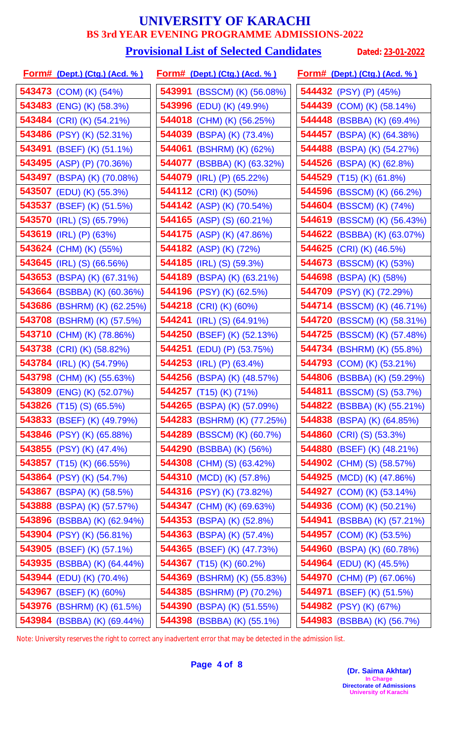#### **Provisional List of Selected Candidates** Dated: 23-01-2022

| <u>Form# (Dept.) (Ctg.) (Acd. % )</u> | <u>Form# (Dept.) (Ctg.) (Acd. %)</u> | <u>Form# (Dept.) (Ctg.) (Acd. % )</u> |
|---------------------------------------|--------------------------------------|---------------------------------------|
| 543473 (COM) (K) (54%)                | 543991 (BSSCM) (K) (56.08%)          | 544432 (PSY) (P) (45%)                |
| 543483 (ENG) (K) (58.3%)              | 543996 (EDU) (K) (49.9%)             | 544439 (COM) (K) (58.14%)             |
| 543484 (CRI) (K) (54.21%)             | 544018 (CHM) (K) (56.25%)            | 544448 (BSBBA) (K) (69.4%)            |
| 543486 (PSY) (K) (52.31%)             | 544039 (BSPA) (K) (73.4%)            | 544457 (BSPA) (K) (64.38%)            |
| 543491 (BSEF) (K) (51.1%)             | 544061 (BSHRM) (K) (62%)             | 544488 (BSPA) (K) (54.27%)            |
| 543495 (ASP) (P) (70.36%)             | <b>544077</b> (BSBBA) (K) (63.32%)   | 544526 (BSPA) (K) (62.8%)             |
| 543497 (BSPA) (K) (70.08%)            | 544079 (IRL) (P) (65.22%)            | 544529 (T15) (K) (61.8%)              |
| 543507 (EDU) (K) (55.3%)              | 544112 (CRI) (K) (50%)               | 544596 (BSSCM) (K) (66.2%)            |
| 543537 (BSEF) (K) (51.5%)             | 544142 (ASP) (K) (70.54%)            | 544604 (BSSCM) (K) (74%)              |
| 543570 (IRL) (S) (65.79%)             | 544165 (ASP) (S) (60.21%)            | 544619 (BSSCM) (K) (56.43%)           |
| 543619 (IRL) (P) (63%)                | 544175 (ASP) (K) (47.86%)            | 544622 (BSBBA) (K) (63.07%)           |
| 543624 (CHM) (K) (55%)                | 544182 (ASP) (K) (72%)               | 544625 (CRI) (K) (46.5%)              |
| 543645 (IRL) (S) (66.56%)             | <b>544185</b> (IRL) (S) (59.3%)      | 544673 (BSSCM) (K) (53%)              |
| 543653 (BSPA) (K) (67.31%)            | 544189 (BSPA) (K) (63.21%)           | 544698 (BSPA) (K) (58%)               |
| 543664 (BSBBA) (K) (60.36%)           | 544196 (PSY) (K) (62.5%)             | 544709 (PSY) (K) (72.29%)             |
| 543686 (BSHRM) (K) (62.25%)           | 544218 (CRI) (K) (60%)               | 544714 (BSSCM) (K) (46.71%)           |
| 543708 (BSHRM) (K) (57.5%)            | <b>544241</b> (IRL) (S) (64.91%)     | 544720 (BSSCM) (K) (58.31%)           |
| 543710 (CHM) (K) (78.86%)             | 544250<br>(BSEF) (K) (52.13%)        | 544725 (BSSCM) (K) (57.48%)           |
| 543738 (CRI) (K) (58.82%)             | 544251<br>(EDU) (P) (53.75%)         | 544734 (BSHRM) (K) (55.8%)            |
| 543784 (IRL) (K) (54.79%)             | 544253 (IRL) (P) (63.4%)             | 544793 (COM) (K) (53.21%)             |
| 543798 (CHM) (K) (55.63%)             | 544256 (BSPA) (K) (48.57%)           | 544806 (BSBBA) (K) (59.29%)           |
| 543809 (ENG) (K) (52.07%)             | 544257 (T15) (K) (71%)               | 544811 (BSSCM) (S) (53.7%)            |
| 543826 $(T15)$ (S) (65.5%)            | 544265 (BSPA) (K) (57.09%)           | 544822 (BSBBA) (K) (55.21%)           |
| 543833 (BSEF) (K) (49.79%)            | 544283 (BSHRM) (K) (77.25%)          | 544838 (BSPA) (K) (64.85%)            |
| 543846 (PSY) (K) (65.88%)             | 544289 (BSSCM) (K) (60.7%)           | 544860 (CRI) (S) (53.3%)              |
| <b>543855</b> (PSY) (K) (47.4%)       | 544290 (BSBBA) (K) (56%)             | 544880 (BSEF) (K) (48.21%)            |
| <b>543857</b> (T15) (K) (66.55%)      | 544308 (CHM) (S) (63.42%)            | 544902 (CHM) (S) (58.57%)             |
| 543864 (PSY) (K) (54.7%)              | 544310 (MCD) (K) (57.8%)             | 544925 (MCD) (K) (47.86%)             |
| <b>543867</b> (BSPA) (K) (58.5%)      | <b>544316</b> (PSY) (K) (73.82%)     | <b>544927</b> (COM) (K) (53.14%)      |
| 543888 (BSPA) (K) (57.57%)            | 544347 (CHM) (K) (69.63%)            | 544936 (COM) (K) (50.21%)             |
| 543896 (BSBBA) (K) (62.94%)           | 544353 (BSPA) (K) (52.8%)            | 544941 (BSBBA) (K) (57.21%)           |
| 543904 (PSY) (K) (56.81%)             | 544363 (BSPA) (K) (57.4%)            | 544957 (COM) (K) (53.5%)              |
| 543905 (BSEF) (K) (57.1%)             | 544365 (BSEF) (K) (47.73%)           | 544960 (BSPA) (K) (60.78%)            |
| 543935 (BSBBA) (K) (64.44%)           | 544367 (T15) (K) (60.2%)             | <b>544964</b> (EDU) (K) (45.5%)       |
| 543944 (EDU) (K) (70.4%)              | 544369 (BSHRM) (K) (55.83%)          | 544970 (CHM) (P) (67.06%)             |
| 543967 (BSEF) (K) (60%)               | 544385 (BSHRM) (P) (70.2%)           | 544971 (BSEF) (K) (51.5%)             |
| 543976 (BSHRM) (K) (61.5%)            | 544390 (BSPA) (K) (51.55%)           | 544982 (PSY) (K) (67%)                |
| 543984 (BSBBA) (K) (69.44%)           | 544398 (BSBBA) (K) (55.1%)           | 544983 (BSBBA) (K) (56.7%)            |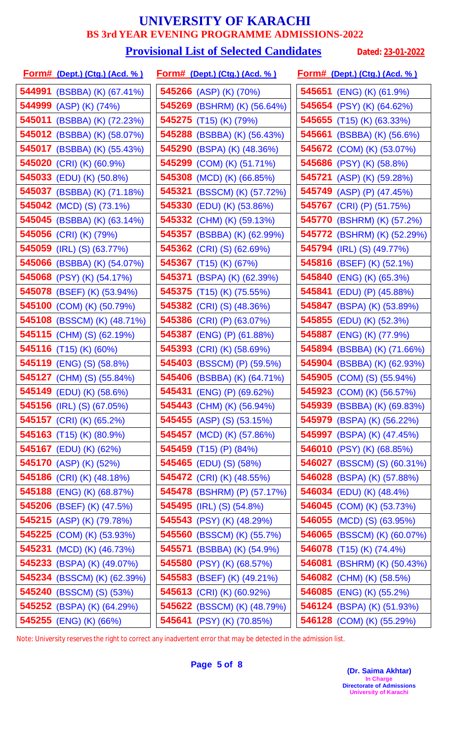#### **Provisional List of Selected Candidates** Dated: 23-01-2022

| <b>Form# (Dept.) (Ctg.) (Acd. %)</b> |        | <u>Form# (Dept.) (Ctg.) (Acd. %)</u> | <u>Form# (Dept.) (Ctg.) (Acd. %)</u> |
|--------------------------------------|--------|--------------------------------------|--------------------------------------|
| 544991 (BSBBA) (K) (67.41%)          |        | 545266 (ASP) (K) (70%)               | 545651 (ENG) (K) (61.9%)             |
| 544999 (ASP) (K) (74%)               |        | 545269 (BSHRM) (K) (56.64%)          | 545654 (PSY) (K) (64.62%)            |
| 545011 (BSBBA) (K) (72.23%)          |        | 545275 (T15) (K) (79%)               | <b>545655</b> (T15) (K) (63.33%)     |
| 545012 (BSBBA) (K) (58.07%)          |        | 545288 (BSBBA) (K) (56.43%)          | 545661 (BSBBA) (K) (56.6%)           |
| 545017 (BSBBA) (K) (55.43%)          |        | 545290 (BSPA) (K) (48.36%)           | 545672 (COM) (K) (53.07%)            |
| 545020 (CRI) (K) (60.9%)             |        | 545299 (COM) (K) (51.71%)            | 545686 (PSY) (K) (58.8%)             |
| 545033 (EDU) (K) (50.8%)             |        | 545308 (MCD) (K) (66.85%)            | <b>545721</b> (ASP) (K) (59.28%)     |
| 545037 (BSBBA) (K) (71.18%)          | 545321 | (BSSCM) (K) (57.72%)                 | 545749 (ASP) (P) (47.45%)            |
| 545042 (MCD) (S) (73.1%)             |        | 545330 (EDU) (K) (53.86%)            | 545767 (CRI) (P) (51.75%)            |
| 545045 (BSBBA) (K) (63.14%)          |        | 545332 (CHM) (K) (59.13%)            | 545770 (BSHRM) (K) (57.2%)           |
| 545056 (CRI) (K) (79%)               |        | 545357 (BSBBA) (K) (62.99%)          | 545772 (BSHRM) (K) (52.29%)          |
| 545059 (IRL) (S) (63.77%)            |        | 545362 (CRI) (S) (62.69%)            | 545794 (IRL) (S) (49.77%)            |
| 545066 (BSBBA) (K) (54.07%)          |        | 545367 (T15) (K) (67%)               | 545816 (BSEF) (K) (52.1%)            |
| 545068 (PSY) (K) (54.17%)            |        | 545371 (BSPA) (K) (62.39%)           | 545840 (ENG) (K) (65.3%)             |
| 545078 (BSEF) (K) (53.94%)           |        | 545375 (T15) (K) (75.55%)            | 545841 (EDU) (P) (45.88%)            |
| 545100 (COM) (K) (50.79%)            |        | 545382 (CRI) (S) (48.36%)            | 545847 (BSPA) (K) (53.89%)           |
| 545108 (BSSCM) (K) (48.71%)          |        | 545386 (CRI) (P) (63.07%)            | <b>545855</b> (EDU) (K) (52.3%)      |
| 545115 (CHM) (S) (62.19%)            | 545387 | (ENG) (P) (61.88%)                   | 545887 (ENG) (K) (77.9%)             |
| 545116 (T15) (K) (60%)               |        | 545393 (CRI) (K) (58.69%)            | 545894 (BSBBA) (K) (71.66%)          |
| 545119 (ENG) (S) (58.8%)             |        | 545403 (BSSCM) (P) (59.5%)           | 545904 (BSBBA) (K) (62.93%)          |
| 545127 (CHM) (S) (55.84%)            |        | 545406 (BSBBA) (K) (64.71%)          | <b>545905</b> (COM) (S) (55.94%)     |
| 545149 (EDU) (K) (58.6%)             |        | 545431 (ENG) (P) (69.62%)            | 545923 (COM) (K) (56.57%)            |
| <b>545156</b> (IRL) (S) (67.05%)     |        | 545443 (CHM) (K) (56.94%)            | 545939 (BSBBA) (K) (69.83%)          |
| <b>545157</b> (CRI) (K) (65.2%)      |        | <b>545455</b> (ASP) (S) (53.15%)     | 545979 (BSPA) (K) (56.22%)           |
| <b>545163</b> (T15) (K) (80.9%)      |        | <b>545457</b> (MCD) (K) (57.86%)     | 545997 (BSPA) (K) (47.45%)           |
| 545167 (EDU) (K) (62%)               |        | 545459 (T15) (P) (84%)               | 546010 (PSY) (K) (68.85%)            |
| 545170 (ASP) (K) (52%)               |        | <b>545465</b> (EDU) (S) (58%)        | <b>546027</b> (BSSCM) (S) (60.31%)   |
| <b>545186</b> (CRI) (K) (48.18%)     |        | 545472 (CRI) (K) (48.55%)            | 546028 (BSPA) (K) (57.88%)           |
| 545188 (ENG) (K) (68.87%)            |        | 545478 (BSHRM) (P) (57.17%)          | <b>546034</b> (EDU) (K) (48.4%)      |
| 545206 (BSEF) (K) (47.5%)            |        | <b>545495</b> (IRL) (S) (54.8%)      | <b>546045</b> (COM) (K) (53.73%)     |
| 545215 (ASP) (K) (79.78%)            |        | 545543 (PSY) (K) (48.29%)            | <b>546055</b> (MCD) (S) (63.95%)     |
| <b>545225</b> (COM) (K) (53.93%)     |        | 545560 (BSSCM) (K) (55.7%)           | 546065 (BSSCM) (K) (60.07%)          |
| 545231 (MCD) (K) (46.73%)            |        | 545571 (BSBBA) (K) (54.9%)           | 546078 (T15) (K) (74.4%)             |
| 545233 (BSPA) (K) (49.07%)           |        | 545580 (PSY) (K) (68.57%)            | 546081 (BSHRM) (K) (50.43%)          |
| 545234 (BSSCM) (K) (62.39%)          |        | 545583 (BSEF) (K) (49.21%)           | 546082 (CHM) (K) (58.5%)             |
| 545240 (BSSCM) (S) (53%)             |        | 545613 (CRI) (K) (60.92%)            | <b>546085</b> (ENG) (K) (55.2%)      |
| 545252 (BSPA) (K) (64.29%)           |        | 545622 (BSSCM) (K) (48.79%)          | 546124 (BSPA) (K) (51.93%)           |
| 545255 (ENG) (K) (66%)               |        | 545641 (PSY) (K) (70.85%)            | 546128 (COM) (K) (55.29%)            |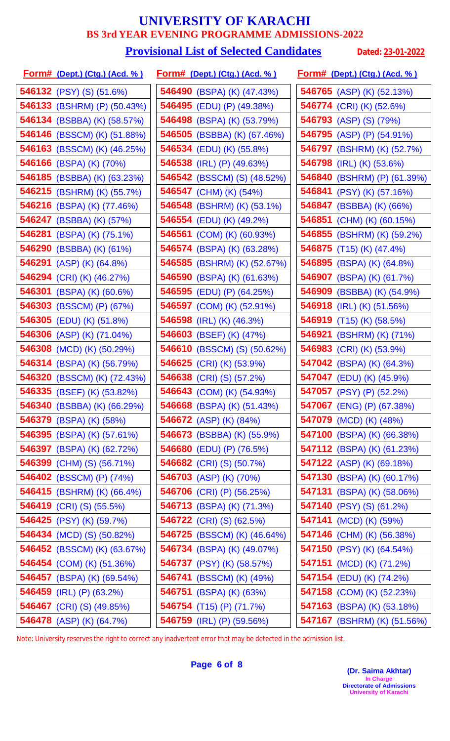### **Provisional List of Selected Candidates** Dated: 23-01-2022

|        | <u>Form# (Dept.) (Ctg.) (Acd. % )</u> |        | <u>Form# (Dept.) (Ctg.) (Acd. %)</u> | <u>Form# (Dept.) (Ctg.) (Acd. %)</u> |
|--------|---------------------------------------|--------|--------------------------------------|--------------------------------------|
|        | <b>546132</b> (PSY) (S) (51.6%)       |        | 546490 (BSPA) (K) (47.43%)           | 546765 (ASP) (K) (52.13%)            |
|        | 546133 (BSHRM) (P) (50.43%)           |        | 546495 (EDU) (P) (49.38%)            | 546774 (CRI) (K) (52.6%)             |
|        | 546134 (BSBBA) (K) (58.57%)           |        | 546498 (BSPA) (K) (53.79%)           | 546793 (ASP) (S) (79%)               |
|        | <b>546146</b> (BSSCM) (K) (51.88%)    |        | <b>546505</b> (BSBBA) (K) (67.46%)   | 546795 (ASP) (P) (54.91%)            |
|        | 546163 (BSSCM) (K) (46.25%)           |        | 546534 (EDU) (K) (55.8%)             | 546797 (BSHRM) (K) (52.7%)           |
|        | 546166 (BSPA) (K) (70%)               |        | 546538 (IRL) (P) (49.63%)            | 546798 (IRL) (K) (53.6%)             |
|        | 546185 (BSBBA) (K) (63.23%)           |        | 546542 (BSSCM) (S) (48.52%)          | 546840 (BSHRM) (P) (61.39%)          |
|        | 546215 (BSHRM) (K) (55.7%)            |        | 546547 (CHM) (K) (54%)               | 546841 (PSY) (K) (57.16%)            |
|        | 546216 (BSPA) (K) (77.46%)            |        | 546548 (BSHRM) (K) (53.1%)           | 546847 (BSBBA) (K) (66%)             |
|        | 546247 (BSBBA) (K) (57%)              |        | 546554 (EDU) (K) (49.2%)             | 546851 (CHM) (K) (60.15%)            |
|        | 546281 (BSPA) (K) (75.1%)             |        | 546561 (COM) (K) (60.93%)            | 546855 (BSHRM) (K) (59.2%)           |
|        | 546290 (BSBBA) (K) (61%)              |        | 546574 (BSPA) (K) (63.28%)           | 546875 (T15) (K) (47.4%)             |
|        | 546291 (ASP) (K) (64.8%)              | 546585 | (BSHRM) (K) (52.67%)                 | 546895 (BSPA) (K) (64.8%)            |
|        | 546294 (CRI) (K) (46.27%)             |        | 546590 (BSPA) (K) (61.63%)           | 546907 (BSPA) (K) (61.7%)            |
| 546301 | $(BSPA)$ $(K)$ $(60.6%)$              | 546595 | (EDU) (P) (64.25%)                   | 546909 (BSBBA) (K) (54.9%)           |
|        | 546303 (BSSCM) (P) (67%)              | 546597 | (COM) (K) (52.91%)                   | 546918 (IRL) (K) (51.56%)            |
| 546305 | (EDU) (K) (51.8%)                     | 546598 | $(IRL)$ $(K)$ $(46.3%)$              | 546919 (T15) (K) (58.5%)             |
|        | 546306 (ASP) (K) (71.04%)             | 546603 | (BSEF) (K) (47%)                     | 546921 (BSHRM) (K) (71%)             |
|        | 546308 (MCD) (K) (50.29%)             | 546610 | (BSSCM) (S) (50.62%)                 | 546983 (CRI) (K) (53.9%)             |
|        | 546314 (BSPA) (K) (56.79%)            | 546625 | $(CRI)$ (K) $(53.9\%)$               | 547042 (BSPA) (K) (64.3%)            |
|        | 546320 (BSSCM) (K) (72.43%)           |        | 546638 (CRI) (S) (57.2%)             | 547047 (EDU) (K) (45.9%)             |
|        | 546335 (BSEF) (K) (53.82%)            |        | 546643 (COM) (K) (54.93%)            | 547057 (PSY) (P) (52.2%)             |
|        | 546340 (BSBBA) (K) (66.29%)           |        | 546668 (BSPA) (K) (51.43%)           | 547067 (ENG) (P) (67.38%)            |
|        | 546379 (BSPA) (K) (58%)               |        | 546672 (ASP) (K) (84%)               | 547079 (MCD) (K) (48%)               |
|        | 546395 (BSPA) (K) (57.61%)            |        | 546673 (BSBBA) (K) (55.9%)           | 547100 (BSPA) (K) (66.38%)           |
|        | 546397 (BSPA) (K) (62.72%)            |        | 546680 (EDU) (P) (76.5%)             | 547112 (BSPA) (K) (61.23%)           |
|        | 546399 (CHM) (S) (56.71%)             |        | 546682 (CRI) (S) (50.7%)             | <b>547122</b> (ASP) (K) (69.18%)     |
|        | 546402 (BSSCM) (P) (74%)              |        | 546703 (ASP) (K) (70%)               | 547130 (BSPA) (K) (60.17%)           |
|        | <b>546415</b> (BSHRM) (K) (66.4%)     |        | <b>546706</b> (CRI) (P) (56.25%)     | 547131 (BSPA) (K) (58.06%)           |
|        | <b>546419</b> (CRI) (S) (55.5%)       |        | 546713 (BSPA) (K) (71.3%)            | 547140 (PSY) (S) (61.2%)             |
|        | 546425 (PSY) (K) (59.7%)              |        | <b>546722</b> (CRI) (S) (62.5%)      | 547141 (MCD) (K) (59%)               |
|        | 546434 (MCD) (S) (50.82%)             |        | 546725 (BSSCM) (K) (46.64%)          | 547146 (CHM) (K) (56.38%)            |
|        | 546452 (BSSCM) (K) (63.67%)           |        | 546734 (BSPA) (K) (49.07%)           | 547150 (PSY) (K) (64.54%)            |
|        | 546454 (COM) (K) (51.36%)             |        | 546737 (PSY) (K) (58.57%)            | 547151 (MCD) (K) (71.2%)             |
|        | 546457 (BSPA) (K) (69.54%)            |        | 546741 (BSSCM) (K) (49%)             | <b>547154</b> (EDU) (K) (74.2%)      |
|        | 546459 (IRL) (P) (63.2%)              |        | 546751 (BSPA) (K) (63%)              | 547158 (COM) (K) (52.23%)            |
|        | 546467 (CRI) (S) (49.85%)             |        | <b>546754</b> (T15) (P) (71.7%)      | 547163 (BSPA) (K) (53.18%)           |
|        | 546478 (ASP) (K) (64.7%)              |        | 546759 (IRL) (P) (59.56%)            | 547167 (BSHRM) (K) (51.56%)          |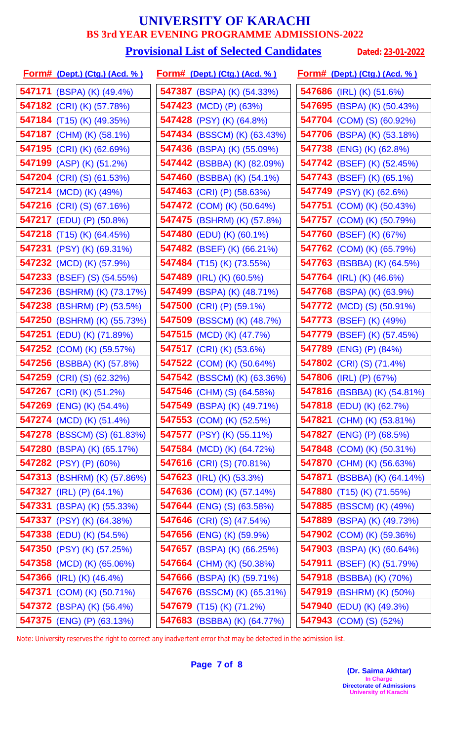#### **Provisional List of Selected Candidates** Dated: 23-01-2022

| <u>Form# (Dept.) (Ctg.) (Acd. % )</u> | <u>Form# (Dept.) (Ctg.) (Acd. %)</u> | <u> Form# (Dept.) (Ctg.) (Acd. % )</u> |
|---------------------------------------|--------------------------------------|----------------------------------------|
| <b>547171</b> (BSPA) (K) (49.4%)      | 547387 (BSPA) (K) (54.33%)           | 547686 (IRL) (K) (51.6%)               |
| 547182 (CRI) (K) (57.78%)             | 547423 (MCD) (P) (63%)               | 547695 (BSPA) (K) (50.43%)             |
| 547184 (T15) (K) (49.35%)             | 547428 (PSY) (K) (64.8%)             | 547704 (COM) (S) (60.92%)              |
| 547187 (CHM) (K) (58.1%)              | <b>547434</b> (BSSCM) (K) (63.43%)   | 547706 (BSPA) (K) (53.18%)             |
| 547195 (CRI) (K) (62.69%)             | 547436 (BSPA) (K) (55.09%)           | 547738 (ENG) (K) (62.8%)               |
| 547199 (ASP) (K) (51.2%)              | <b>547442</b> (BSBBA) (K) (82.09%)   | <b>547742</b> (BSEF) (K) (52.45%)      |
| 547204 (CRI) (S) (61.53%)             | 547460 (BSBBA) (K) (54.1%)           | 547743 (BSEF) (K) (65.1%)              |
| 547214 (MCD) (K) (49%)                | 547463 (CRI) (P) (58.63%)            | 547749 (PSY) (K) (62.6%)               |
| <b>547216</b> (CRI) (S) (67.16%)      | <b>547472</b> (COM) (K) (50.64%)     | 547751 (COM) (K) (50.43%)              |
| 547217 (EDU) (P) (50.8%)              | 547475 (BSHRM) (K) (57.8%)           | 547757 (COM) (K) (50.79%)              |
| <b>547218</b> (T15) (K) (64.45%)      | 547480 (EDU) (K) (60.1%)             | 547760 (BSEF) (K) (67%)                |
| 547231 (PSY) (K) (69.31%)             | 547482 (BSEF) (K) (66.21%)           | 547762 (COM) (K) (65.79%)              |
| 547232 (MCD) (K) (57.9%)              | 547484 (T15) (K) (73.55%)            | 547763 (BSBBA) (K) (64.5%)             |
| <b>547233</b> (BSEF) (S) (54.55%)     | 547489 (IRL) (K) (60.5%)             | 547764 (IRL) (K) (46.6%)               |
| 547236 (BSHRM) (K) (73.17%)           | 547499 (BSPA) (K) (48.71%)           | 547768 (BSPA) (K) (63.9%)              |
| 547238 (BSHRM) (P) (53.5%)            | 547500 (CRI) (P) (59.1%)             | <b>547772</b> (MCD) (S) (50.91%)       |
| 547250 (BSHRM) (K) (55.73%)           | 547509 (BSSCM) (K) (48.7%)           | 547773 (BSEF) (K) (49%)                |
| 547251 (EDU) (K) (71.89%)             | 547515 (MCD) (K) (47.7%)             | 547779 (BSEF) (K) (57.45%)             |
| 547252 (COM) (K) (59.57%)             | 547517 (CRI) (K) (53.6%)             | 547789 (ENG) (P) (84%)                 |
| 547256 (BSBBA) (K) (57.8%)            | <b>547522</b> (COM) (K) (50.64%)     | <b>547802</b> (CRI) (S) (71.4%)        |
| 547259 (CRI) (S) (62.32%)             | <b>547542</b> (BSSCM) (K) (63.36%)   | 547806 (IRL) (P) (67%)                 |
| 547267 (CRI) (K) (51.2%)              | 547546 (CHM) (S) (64.58%)            | 547816 (BSBBA) (K) (54.81%)            |
| <b>547269</b> (ENG) (K) (54.4%)       | 547549 (BSPA) (K) (49.71%)           | 547818 (EDU) (K) (62.7%)               |
| <b>547274</b> (MCD) (K) (51.4%)       | 547553 (COM) (K) (52.5%)             | 547821 (CHM) (K) (53.81%)              |
| 547278 (BSSCM) (S) (61.83%)           | 547577 (PSY) (K) (55.11%)            | <b>547827</b> (ENG) (P) (68.5%)        |
| 547280 (BSPA) (K) (65.17%)            | <b>547584</b> (MCD) (K) (64.72%)     | 547848 (COM) (K) (50.31%)              |
| 547282 (PSY) (P) (60%)                | 547616 (CRI) (S) (70.81%)            | 547870 (CHM) (K) (56.63%)              |
| 547313 (BSHRM) (K) (57.86%)           | 547623 (IRL) (K) (53.3%)             | 547871 (BSBBA) (K) (64.14%)            |
| 547327 (IRL) (P) (64.1%)              | 547636 (COM) (K) (57.14%)            | <b>547880</b> (T15) (K) (71.55%)       |
| 547331 (BSPA) (K) (55.33%)            | <b>547644</b> (ENG) (S) (63.58%)     | <b>547885</b> (BSSCM) (K) (49%)        |
| 547337 (PSY) (K) (64.38%)             | <b>547646</b> (CRI) (S) (47.54%)     | 547889 (BSPA) (K) (49.73%)             |
| 547338 (EDU) (K) (54.5%)              | 547656 (ENG) (K) (59.9%)             | 547902 (COM) (K) (59.36%)              |
| 547350 (PSY) (K) (57.25%)             | 547657 (BSPA) (K) (66.25%)           | 547903 (BSPA) (K) (60.64%)             |
| 547358 (MCD) (K) (65.06%)             | 547664 (CHM) (K) (50.38%)            | 547911 (BSEF) (K) (51.79%)             |
| <b>547366</b> (IRL) (K) (46.4%)       | 547666 (BSPA) (K) (59.71%)           | 547918 (BSBBA) (K) (70%)               |
| 547371 (COM) (K) (50.71%)             | 547676 (BSSCM) (K) (65.31%)          | 547919 (BSHRM) (K) (50%)               |
| 547372 (BSPA) (K) (56.4%)             | 547679 (T15) (K) (71.2%)             | 547940 (EDU) (K) (49.3%)               |
| 547375 (ENG) (P) (63.13%)             | 547683 (BSBBA) (K) (64.77%)          | 547943 (COM) (S) (52%)                 |